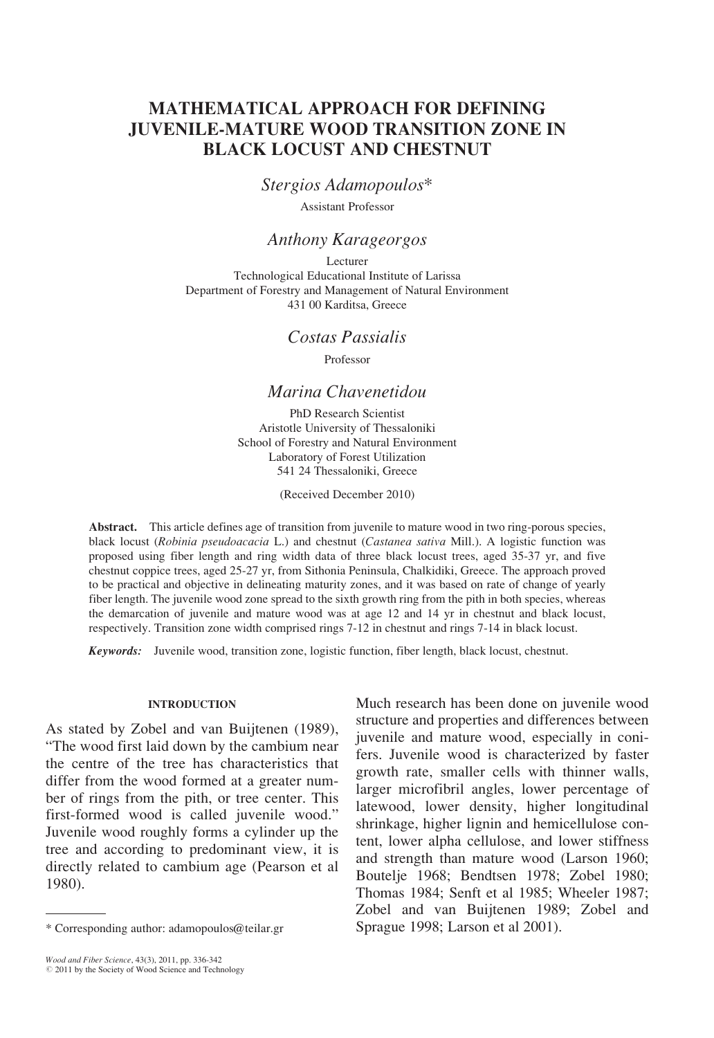# MATHEMATICAL APPROACH FOR DEFINING JUVENILE-MATURE WOOD TRANSITION ZONE IN BLACK LOCUST AND CHESTNUT

Stergios Adamopoulos\*

Assistant Professor

## Anthony Karageorgos

Lecturer Technological Educational Institute of Larissa Department of Forestry and Management of Natural Environment 431 00 Karditsa, Greece

## Costas Passialis

Professor

## Marina Chavenetidou

PhD Research Scientist Aristotle University of Thessaloniki School of Forestry and Natural Environment Laboratory of Forest Utilization 541 24 Thessaloniki, Greece

(Received December 2010)

Abstract. This article defines age of transition from juvenile to mature wood in two ring-porous species, black locust (Robinia pseudoacacia L.) and chestnut (Castanea sativa Mill.). A logistic function was proposed using fiber length and ring width data of three black locust trees, aged 35-37 yr, and five chestnut coppice trees, aged 25-27 yr, from Sithonia Peninsula, Chalkidiki, Greece. The approach proved to be practical and objective in delineating maturity zones, and it was based on rate of change of yearly fiber length. The juvenile wood zone spread to the sixth growth ring from the pith in both species, whereas the demarcation of juvenile and mature wood was at age 12 and 14 yr in chestnut and black locust, respectively. Transition zone width comprised rings 7-12 in chestnut and rings 7-14 in black locust.

Keywords: Juvenile wood, transition zone, logistic function, fiber length, black locust, chestnut.

### INTRODUCTION

As stated by Zobel and van Buijtenen (1989), "The wood first laid down by the cambium near the centre of the tree has characteristics that differ from the wood formed at a greater number of rings from the pith, or tree center. This first-formed wood is called juvenile wood." Juvenile wood roughly forms a cylinder up the tree and according to predominant view, it is directly related to cambium age (Pearson et al 1980).

Much research has been done on juvenile wood structure and properties and differences between juvenile and mature wood, especially in conifers. Juvenile wood is characterized by faster growth rate, smaller cells with thinner walls, larger microfibril angles, lower percentage of latewood, lower density, higher longitudinal shrinkage, higher lignin and hemicellulose content, lower alpha cellulose, and lower stiffness and strength than mature wood (Larson 1960; Boutelje 1968; Bendtsen 1978; Zobel 1980; Thomas 1984; Senft et al 1985; Wheeler 1987; Zobel and van Buijtenen 1989; Zobel and \* Corresponding author: adamopoulos@teilar.gr Sprague 1998; Larson et al 2001).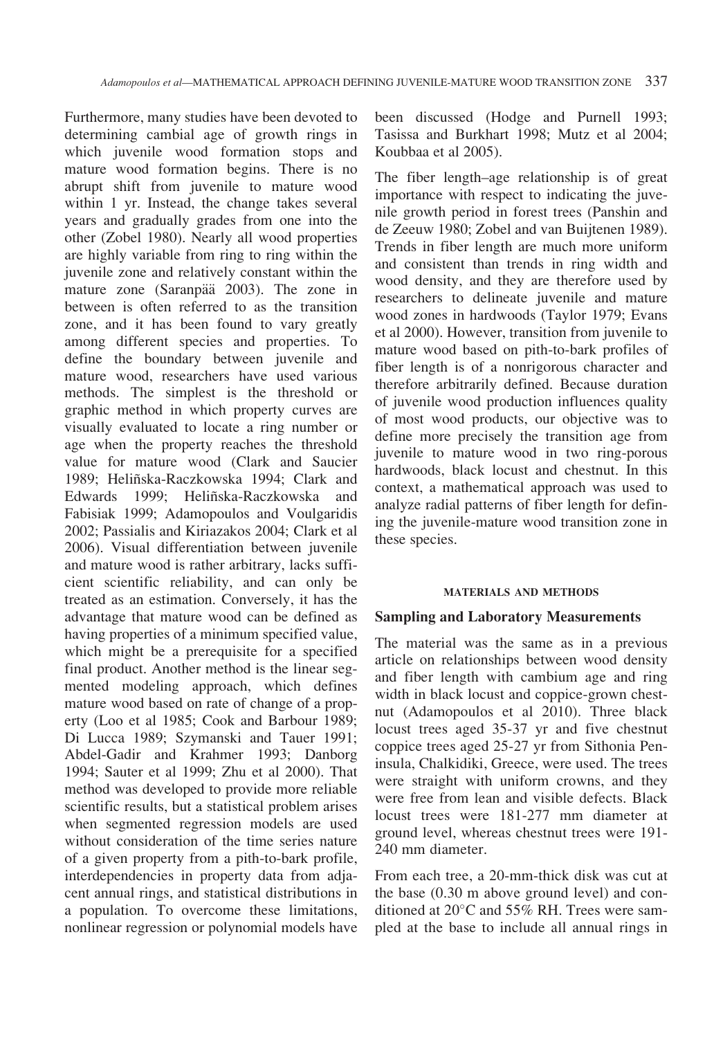Furthermore, many studies have been devoted to determining cambial age of growth rings in which juvenile wood formation stops and mature wood formation begins. There is no abrupt shift from juvenile to mature wood within 1 yr. Instead, the change takes several years and gradually grades from one into the other (Zobel 1980). Nearly all wood properties are highly variable from ring to ring within the juvenile zone and relatively constant within the mature zone (Saranpää 2003). The zone in between is often referred to as the transition zone, and it has been found to vary greatly among different species and properties. To define the boundary between juvenile and mature wood, researchers have used various methods. The simplest is the threshold or graphic method in which property curves are visually evaluated to locate a ring number or age when the property reaches the threshold value for mature wood (Clark and Saucier 1989; Heliñska-Raczkowska 1994; Clark and Edwards 1999; Heliñska-Raczkowska and Fabisiak 1999; Adamopoulos and Voulgaridis 2002; Passialis and Kiriazakos 2004; Clark et al 2006). Visual differentiation between juvenile and mature wood is rather arbitrary, lacks sufficient scientific reliability, and can only be treated as an estimation. Conversely, it has the advantage that mature wood can be defined as having properties of a minimum specified value, which might be a prerequisite for a specified final product. Another method is the linear segmented modeling approach, which defines mature wood based on rate of change of a property (Loo et al 1985; Cook and Barbour 1989; Di Lucca 1989; Szymanski and Tauer 1991; Abdel-Gadir and Krahmer 1993; Danborg 1994; Sauter et al 1999; Zhu et al 2000). That method was developed to provide more reliable scientific results, but a statistical problem arises when segmented regression models are used without consideration of the time series nature of a given property from a pith-to-bark profile, interdependencies in property data from adjacent annual rings, and statistical distributions in a population. To overcome these limitations, nonlinear regression or polynomial models have

been discussed (Hodge and Purnell 1993; Tasissa and Burkhart 1998; Mutz et al 2004; Koubbaa et al 2005).

The fiber length–age relationship is of great importance with respect to indicating the juvenile growth period in forest trees (Panshin and de Zeeuw 1980; Zobel and van Buijtenen 1989). Trends in fiber length are much more uniform and consistent than trends in ring width and wood density, and they are therefore used by researchers to delineate juvenile and mature wood zones in hardwoods (Taylor 1979; Evans et al 2000). However, transition from juvenile to mature wood based on pith-to-bark profiles of fiber length is of a nonrigorous character and therefore arbitrarily defined. Because duration of juvenile wood production influences quality of most wood products, our objective was to define more precisely the transition age from juvenile to mature wood in two ring-porous hardwoods, black locust and chestnut. In this context, a mathematical approach was used to analyze radial patterns of fiber length for defining the juvenile-mature wood transition zone in these species.

#### MATERIALS AND METHODS

### Sampling and Laboratory Measurements

The material was the same as in a previous article on relationships between wood density and fiber length with cambium age and ring width in black locust and coppice-grown chestnut (Adamopoulos et al 2010). Three black locust trees aged 35-37 yr and five chestnut coppice trees aged 25-27 yr from Sithonia Peninsula, Chalkidiki, Greece, were used. The trees were straight with uniform crowns, and they were free from lean and visible defects. Black locust trees were 181-277 mm diameter at ground level, whereas chestnut trees were 191- 240 mm diameter.

From each tree, a 20-mm-thick disk was cut at the base (0.30 m above ground level) and conditioned at  $20^{\circ}$ C and  $55\%$  RH. Trees were sampled at the base to include all annual rings in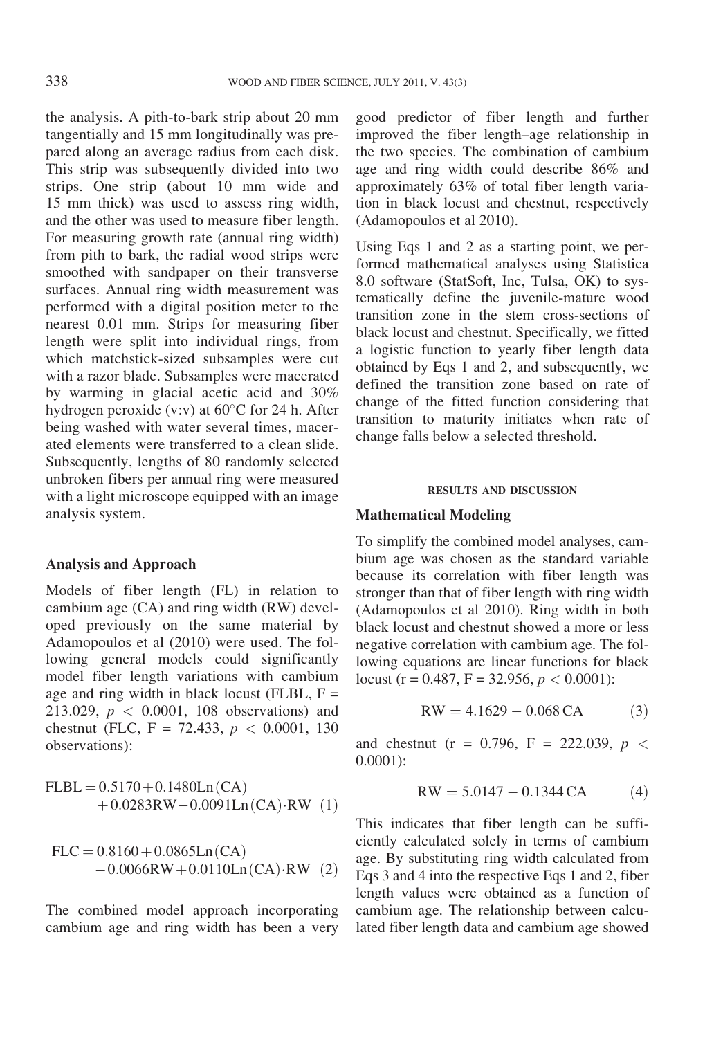the analysis. A pith-to-bark strip about 20 mm tangentially and 15 mm longitudinally was prepared along an average radius from each disk. This strip was subsequently divided into two strips. One strip (about 10 mm wide and 15 mm thick) was used to assess ring width, and the other was used to measure fiber length. For measuring growth rate (annual ring width) from pith to bark, the radial wood strips were smoothed with sandpaper on their transverse surfaces. Annual ring width measurement was performed with a digital position meter to the nearest 0.01 mm. Strips for measuring fiber length were split into individual rings, from which matchstick-sized subsamples were cut with a razor blade. Subsamples were macerated by warming in glacial acetic acid and 30% hydrogen peroxide (v:v) at  $60^{\circ}$ C for 24 h. After being washed with water several times, macerated elements were transferred to a clean slide. Subsequently, lengths of 80 randomly selected unbroken fibers per annual ring were measured with a light microscope equipped with an image analysis system.

### Analysis and Approach

Models of fiber length (FL) in relation to cambium age (CA) and ring width (RW) developed previously on the same material by Adamopoulos et al (2010) were used. The following general models could significantly model fiber length variations with cambium age and ring width in black locust (FLBL,  $F =$ 213.029,  $p < 0.0001$ , 108 observations) and chestnut (FLC, F = 72.433,  $p < 0.0001$ , 130 observations):

$$
FLBL = 0.5170 + 0.1480Ln(CA) + 0.0283RW - 0.0091Ln(CA) \cdot RW \text{ (1)}
$$

$$
FLC = 0.8160 + 0.0865Ln(CA)
$$
  
-0.0066RW + 0.0110Ln(CA) RW (2)

The combined model approach incorporating cambium age and ring width has been a very

good predictor of fiber length and further improved the fiber length–age relationship in the two species. The combination of cambium age and ring width could describe 86% and approximately 63% of total fiber length variation in black locust and chestnut, respectively (Adamopoulos et al 2010).

Using Eqs 1 and 2 as a starting point, we performed mathematical analyses using Statistica 8.0 software (StatSoft, Inc, Tulsa, OK) to systematically define the juvenile-mature wood transition zone in the stem cross-sections of black locust and chestnut. Specifically, we fitted a logistic function to yearly fiber length data obtained by Eqs 1 and 2, and subsequently, we defined the transition zone based on rate of change of the fitted function considering that transition to maturity initiates when rate of change falls below a selected threshold.

#### RESULTS AND DISCUSSION

### Mathematical Modeling

To simplify the combined model analyses, cambium age was chosen as the standard variable because its correlation with fiber length was stronger than that of fiber length with ring width (Adamopoulos et al 2010). Ring width in both black locust and chestnut showed a more or less negative correlation with cambium age. The following equations are linear functions for black locust (r = 0.487, F = 32.956,  $p < 0.0001$ ):

$$
RW = 4.1629 - 0.068 CA
$$
 (3)

and chestnut (r = 0.796, F = 222.039,  $p <$ 0.0001):

$$
RW = 5.0147 - 0.1344 CA \tag{4}
$$

This indicates that fiber length can be sufficiently calculated solely in terms of cambium age. By substituting ring width calculated from Eqs 3 and 4 into the respective Eqs 1 and 2, fiber length values were obtained as a function of cambium age. The relationship between calculated fiber length data and cambium age showed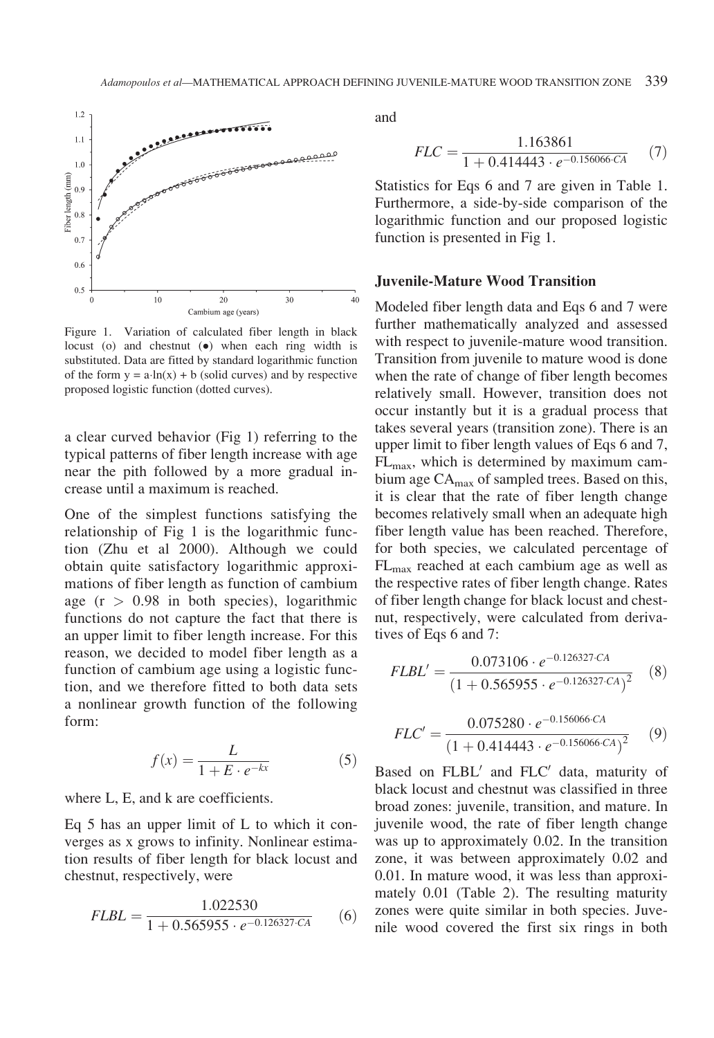

Figure 1. Variation of calculated fiber length in black locust (o) and chestnut  $\left( \bullet \right)$  when each ring width is substituted. Data are fitted by standard logarithmic function of the form  $y = a \cdot ln(x) + b$  (solid curves) and by respective proposed logistic function (dotted curves).

a clear curved behavior (Fig 1) referring to the typical patterns of fiber length increase with age near the pith followed by a more gradual increase until a maximum is reached.

One of the simplest functions satisfying the relationship of Fig 1 is the logarithmic function (Zhu et al 2000). Although we could obtain quite satisfactory logarithmic approximations of fiber length as function of cambium age  $(r > 0.98$  in both species), logarithmic functions do not capture the fact that there is an upper limit to fiber length increase. For this reason, we decided to model fiber length as a function of cambium age using a logistic function, and we therefore fitted to both data sets a nonlinear growth function of the following form:

$$
f(x) = \frac{L}{1 + E \cdot e^{-kx}}\tag{5}
$$

where L, E, and k are coefficients.

Eq 5 has an upper limit of L to which it converges as x grows to infinity. Nonlinear estimation results of fiber length for black locust and chestnut, respectively, were

$$
FLBL = \frac{1.022530}{1 + 0.565955 \cdot e^{-0.126327 \cdot CA}}
$$
 (6)

and

$$
FLC = \frac{1.163861}{1 + 0.414443 \cdot e^{-0.156066 \cdot CA}} \tag{7}
$$

Statistics for Eqs 6 and 7 are given in Table 1. Furthermore, a side-by-side comparison of the logarithmic function and our proposed logistic function is presented in Fig 1.

### Juvenile-Mature Wood Transition

Modeled fiber length data and Eqs 6 and 7 were further mathematically analyzed and assessed with respect to juvenile-mature wood transition. Transition from juvenile to mature wood is done when the rate of change of fiber length becomes relatively small. However, transition does not occur instantly but it is a gradual process that takes several years (transition zone). There is an upper limit to fiber length values of Eqs 6 and 7,  $FL<sub>max</sub>$ , which is determined by maximum cambium age CA<sub>max</sub> of sampled trees. Based on this, it is clear that the rate of fiber length change becomes relatively small when an adequate high fiber length value has been reached. Therefore, for both species, we calculated percentage of FLmax reached at each cambium age as well as the respective rates of fiber length change. Rates of fiber length change for black locust and chestnut, respectively, were calculated from derivatives of Eqs 6 and 7:

$$
FLBL' = \frac{0.073106 \cdot e^{-0.126327 \cdot CA}}{(1 + 0.565955 \cdot e^{-0.126327 \cdot CA})^2}
$$
 (8)

$$
FLC' = \frac{0.075280 \cdot e^{-0.156066 \cdot CA}}{(1 + 0.414443 \cdot e^{-0.156066 \cdot CA})^2}
$$
(9)

Based on FLBL' and FLC' data, maturity of black locust and chestnut was classified in three broad zones: juvenile, transition, and mature. In juvenile wood, the rate of fiber length change was up to approximately 0.02. In the transition zone, it was between approximately 0.02 and 0.01. In mature wood, it was less than approximately 0.01 (Table 2). The resulting maturity zones were quite similar in both species. Juvenile wood covered the first six rings in both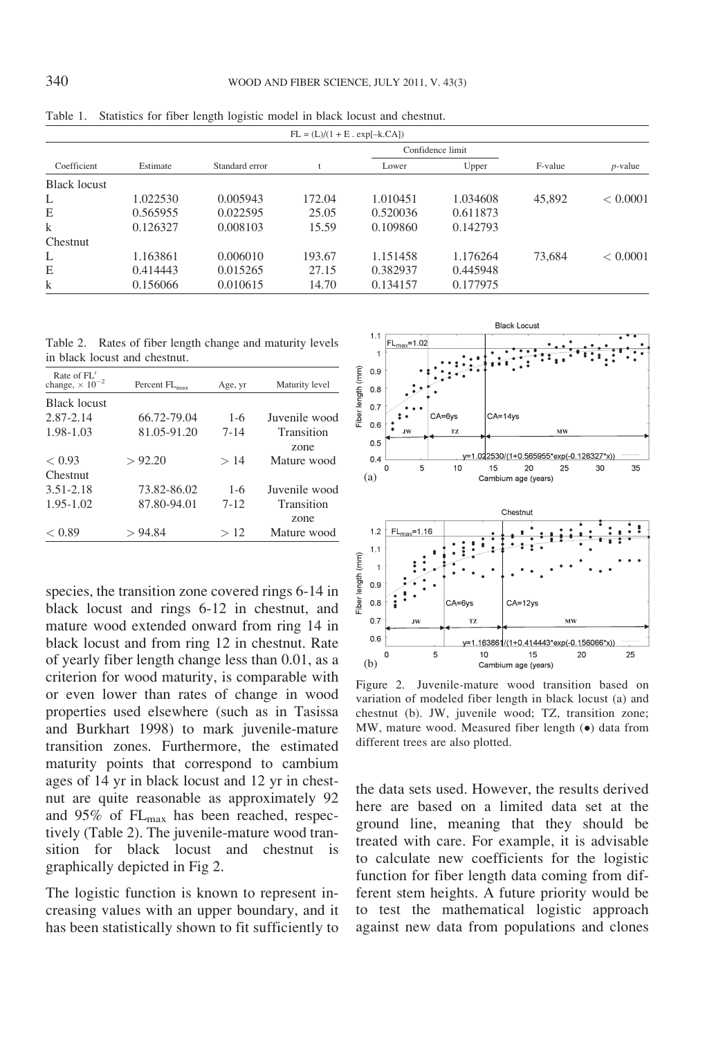| $FL = (L)/(1 + E \cdot exp[-k.CA])$ |          |                |        |                  |          |         |            |  |
|-------------------------------------|----------|----------------|--------|------------------|----------|---------|------------|--|
| Coefficient                         |          |                |        | Confidence limit |          |         |            |  |
|                                     | Estimate | Standard error |        | Lower            | Upper    | F-value | $p$ -value |  |
| <b>Black locust</b>                 |          |                |        |                  |          |         |            |  |
| L                                   | 1.022530 | 0.005943       | 172.04 | 1.010451         | 1.034608 | 45,892  | < 0.0001   |  |
| E                                   | 0.565955 | 0.022595       | 25.05  | 0.520036         | 0.611873 |         |            |  |
| $\mathbf k$                         | 0.126327 | 0.008103       | 15.59  | 0.109860         | 0.142793 |         |            |  |
| Chestnut                            |          |                |        |                  |          |         |            |  |
| L                                   | 1.163861 | 0.006010       | 193.67 | 1.151458         | 1.176264 | 73,684  | < 0.0001   |  |
| E                                   | 0.414443 | 0.015265       | 27.15  | 0.382937         | 0.445948 |         |            |  |
| $\bf k$                             | 0.156066 | 0.010615       | 14.70  | 0.134157         | 0.177975 |         |            |  |

Table 1. Statistics for fiber length logistic model in black locust and chestnut.

Table 2. Rates of fiber length change and maturity levels in black locust and chestnut.

| Rate of FL'<br>change, $\times 10^{-2}$ | Percent FL <sub>max</sub> | Age, yr  | Maturity level     |
|-----------------------------------------|---------------------------|----------|--------------------|
| <b>Black locust</b>                     |                           |          |                    |
| 2.87-2.14                               | 66.72-79.04               | $1 - 6$  | Juvenile wood      |
| 1.98-1.03                               | 81.05-91.20               | $7 - 14$ | Transition<br>zone |
| < 0.93                                  | > 92.20                   | >14      | Mature wood        |
| Chestnut                                |                           |          |                    |
| 3.51-2.18                               | 73.82-86.02               | $1 - 6$  | Juvenile wood      |
| 1.95-1.02                               | 87.80-94.01               | $7 - 12$ | Transition         |
|                                         |                           |          | zone               |
| < 0.89                                  | > 94.84                   | >12      | Mature wood        |

species, the transition zone covered rings 6-14 in black locust and rings 6-12 in chestnut, and mature wood extended onward from ring 14 in black locust and from ring 12 in chestnut. Rate of yearly fiber length change less than 0.01, as a criterion for wood maturity, is comparable with or even lower than rates of change in wood properties used elsewhere (such as in Tasissa and Burkhart 1998) to mark juvenile-mature transition zones. Furthermore, the estimated maturity points that correspond to cambium ages of 14 yr in black locust and 12 yr in chestnut are quite reasonable as approximately 92 and  $95\%$  of  $FL_{max}$  has been reached, respectively (Table 2). The juvenile-mature wood transition for black locust and chestnut is graphically depicted in Fig 2.

The logistic function is known to represent increasing values with an upper boundary, and it has been statistically shown to fit sufficiently to



Figure 2. Juvenile-mature wood transition based on variation of modeled fiber length in black locust (a) and chestnut (b). JW, juvenile wood; TZ, transition zone; MW, mature wood. Measured fiber length  $(\bullet)$  data from different trees are also plotted.

the data sets used. However, the results derived here are based on a limited data set at the ground line, meaning that they should be treated with care. For example, it is advisable to calculate new coefficients for the logistic function for fiber length data coming from different stem heights. A future priority would be to test the mathematical logistic approach against new data from populations and clones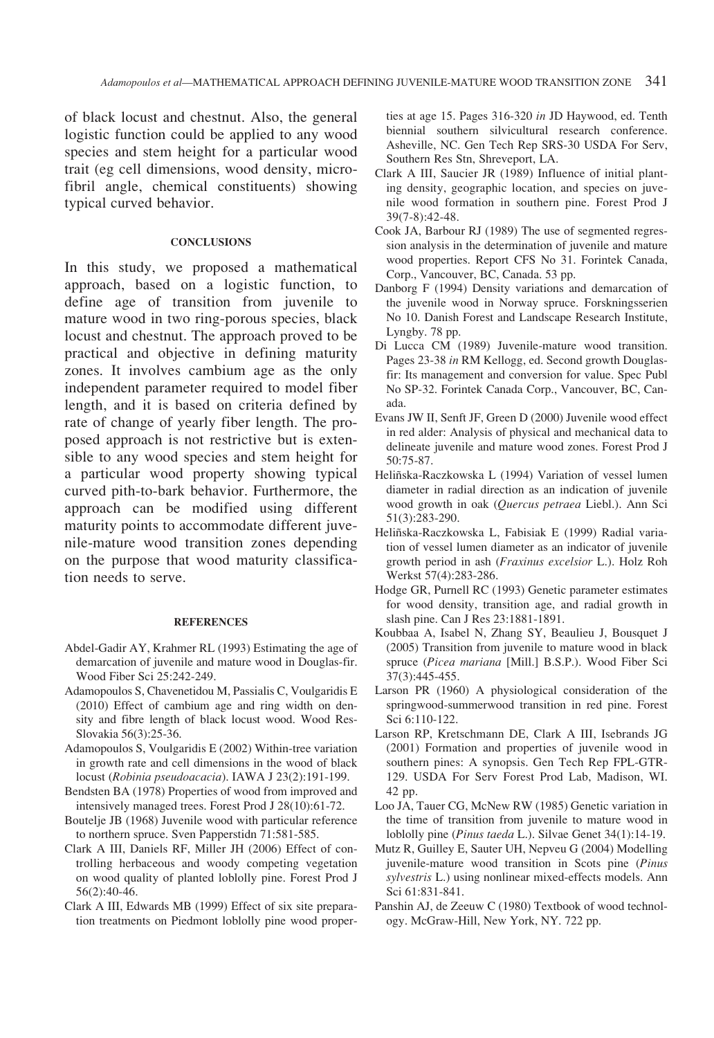of black locust and chestnut. Also, the general logistic function could be applied to any wood species and stem height for a particular wood trait (eg cell dimensions, wood density, microfibril angle, chemical constituents) showing typical curved behavior.

#### **CONCLUSIONS**

In this study, we proposed a mathematical approach, based on a logistic function, to define age of transition from juvenile to mature wood in two ring-porous species, black locust and chestnut. The approach proved to be practical and objective in defining maturity zones. It involves cambium age as the only independent parameter required to model fiber length, and it is based on criteria defined by rate of change of yearly fiber length. The proposed approach is not restrictive but is extensible to any wood species and stem height for a particular wood property showing typical curved pith-to-bark behavior. Furthermore, the approach can be modified using different maturity points to accommodate different juvenile-mature wood transition zones depending on the purpose that wood maturity classification needs to serve.

#### **REFERENCES**

- Abdel-Gadir AY, Krahmer RL (1993) Estimating the age of demarcation of juvenile and mature wood in Douglas-fir. Wood Fiber Sci 25:242-249.
- Adamopoulos S, Chavenetidou M, Passialis C, Voulgaridis E (2010) Effect of cambium age and ring width on density and fibre length of black locust wood. Wood Res-Slovakia 56(3):25-36.
- Adamopoulos S, Voulgaridis E (2002) Within-tree variation in growth rate and cell dimensions in the wood of black locust (Robinia pseudoacacia). IAWA J 23(2):191-199.
- Bendsten BA (1978) Properties of wood from improved and intensively managed trees. Forest Prod J 28(10):61-72.
- Boutelje JB (1968) Juvenile wood with particular reference to northern spruce. Sven Papperstidn 71:581-585.
- Clark A III, Daniels RF, Miller JH (2006) Effect of controlling herbaceous and woody competing vegetation on wood quality of planted loblolly pine. Forest Prod J 56(2):40-46.
- Clark A III, Edwards MB (1999) Effect of six site preparation treatments on Piedmont loblolly pine wood proper-

ties at age 15. Pages 316-320 in JD Haywood, ed. Tenth biennial southern silvicultural research conference. Asheville, NC. Gen Tech Rep SRS-30 USDA For Serv, Southern Res Stn, Shreveport, LA.

- Clark A III, Saucier JR (1989) Influence of initial planting density, geographic location, and species on juvenile wood formation in southern pine. Forest Prod J 39(7-8):42-48.
- Cook JA, Barbour RJ (1989) The use of segmented regression analysis in the determination of juvenile and mature wood properties. Report CFS No 31. Forintek Canada, Corp., Vancouver, BC, Canada. 53 pp.
- Danborg F (1994) Density variations and demarcation of the juvenile wood in Norway spruce. Forskningsserien No 10. Danish Forest and Landscape Research Institute, Lyngby. 78 pp.
- Di Lucca CM (1989) Juvenile-mature wood transition. Pages 23-38 in RM Kellogg, ed. Second growth Douglasfir: Its management and conversion for value. Spec Publ No SP-32. Forintek Canada Corp., Vancouver, BC, Canada.
- Evans JW II, Senft JF, Green D (2000) Juvenile wood effect in red alder: Analysis of physical and mechanical data to delineate juvenile and mature wood zones. Forest Prod J 50:75-87.
- Heliñska-Raczkowska L (1994) Variation of vessel lumen diameter in radial direction as an indication of juvenile wood growth in oak (Quercus petraea Liebl.). Ann Sci 51(3):283-290.
- Heliñska-Raczkowska L, Fabisiak E (1999) Radial variation of vessel lumen diameter as an indicator of juvenile growth period in ash (Fraxinus excelsior L.). Holz Roh Werkst 57(4):283-286.
- Hodge GR, Purnell RC (1993) Genetic parameter estimates for wood density, transition age, and radial growth in slash pine. Can J Res 23:1881-1891.
- Koubbaa A, Isabel N, Zhang SY, Beaulieu J, Bousquet J (2005) Transition from juvenile to mature wood in black spruce (Picea mariana [Mill.] B.S.P.). Wood Fiber Sci 37(3):445-455.
- Larson PR (1960) A physiological consideration of the springwood-summerwood transition in red pine. Forest Sci 6:110-122.
- Larson RP, Kretschmann DE, Clark A III, Isebrands JG (2001) Formation and properties of juvenile wood in southern pines: A synopsis. Gen Tech Rep FPL-GTR-129. USDA For Serv Forest Prod Lab, Madison, WI. 42 pp.
- Loo JA, Tauer CG, McNew RW (1985) Genetic variation in the time of transition from juvenile to mature wood in loblolly pine (Pinus taeda L.). Silvae Genet 34(1):14-19.
- Mutz R, Guilley E, Sauter UH, Nepveu G (2004) Modelling juvenile-mature wood transition in Scots pine (Pinus sylvestris L.) using nonlinear mixed-effects models. Ann Sci 61:831-841.
- Panshin AJ, de Zeeuw C (1980) Textbook of wood technology. McGraw-Hill, New York, NY. 722 pp.